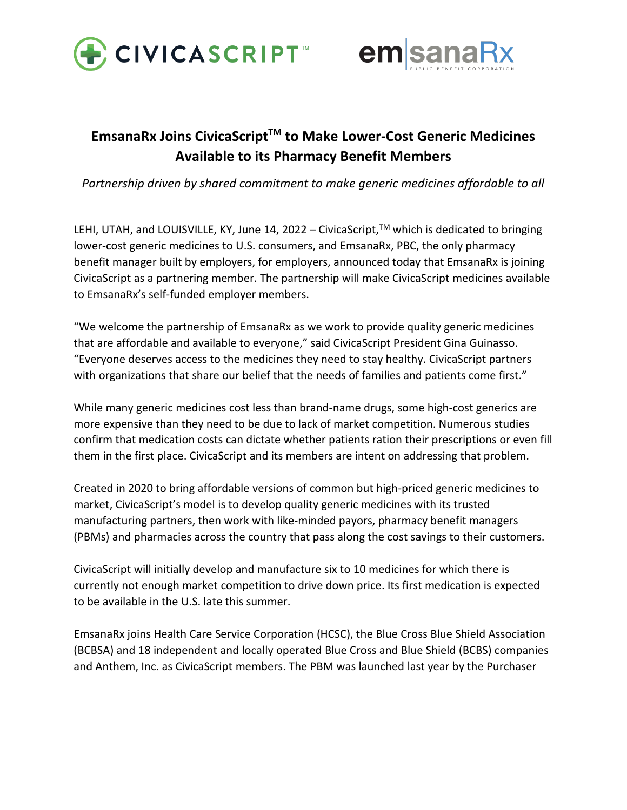



## **EmsanaRx Joins CivicaScriptTM to Make Lower-Cost Generic Medicines Available to its Pharmacy Benefit Members**

*Partnership driven by shared commitment to make generic medicines affordable to all*

LEHI, UTAH, and LOUISVILLE, KY, June 14, 2022 – CivicaScript,™ which is dedicated to bringing lower-cost generic medicines to U.S. consumers, and EmsanaRx, PBC, the only pharmacy benefit manager built by employers, for employers, announced today that EmsanaRx is joining CivicaScript as a partnering member. The partnership will make CivicaScript medicines available to EmsanaRx's self-funded employer members.

"We welcome the partnership of EmsanaRx as we work to provide quality generic medicines that are affordable and available to everyone," said CivicaScript President Gina Guinasso. "Everyone deserves access to the medicines they need to stay healthy. CivicaScript partners with organizations that share our belief that the needs of families and patients come first."

While many generic medicines cost less than brand-name drugs, some high-cost generics are more expensive than they need to be due to lack of market competition. Numerous studies confirm that medication costs can dictate whether patients ration their prescriptions or even fill them in the first place. CivicaScript and its members are intent on addressing that problem.

Created in 2020 to bring affordable versions of common but high-priced generic medicines to market, CivicaScript's model is to develop quality generic medicines with its trusted manufacturing partners, then work with like-minded payors, pharmacy benefit managers (PBMs) and pharmacies across the country that pass along the cost savings to their customers.

CivicaScript will initially develop and manufacture six to 10 medicines for which there is currently not enough market competition to drive down price. Its first medication is expected to be available in the U.S. late this summer.

EmsanaRx joins Health Care Service Corporation (HCSC), the Blue Cross Blue Shield Association (BCBSA) and 18 independent and locally operated Blue Cross and Blue Shield (BCBS) companies and Anthem, Inc. as CivicaScript members. The PBM was launched last year by the Purchaser